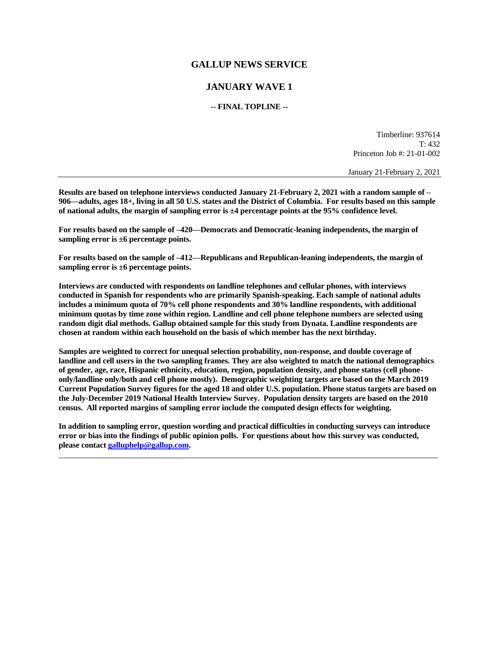# **GALLUP NEWS SERVICE**

# **JANUARY WAVE 1**

## **-- FINAL TOPLINE --**

Timberline: 937614 T: 432 Princeton Job #: 21-01-002

January 21-February 2, 2021

**Results are based on telephone interviews conducted January 21-February 2, 2021 with a random sample of – 906—adults, ages 18+, living in all 50 U.S. states and the District of Columbia. For results based on this sample of national adults, the margin of sampling error is ±4 percentage points at the 95% confidence level.** 

**For results based on the sample of –420—Democrats and Democratic-leaning independents, the margin of sampling error is ±6 percentage points.**

**For results based on the sample of –412—Republicans and Republican-leaning independents, the margin of sampling error is ±6 percentage points.**

**Interviews are conducted with respondents on landline telephones and cellular phones, with interviews conducted in Spanish for respondents who are primarily Spanish-speaking. Each sample of national adults includes a minimum quota of 70% cell phone respondents and 30% landline respondents, with additional minimum quotas by time zone within region. Landline and cell phone telephone numbers are selected using random digit dial methods. Gallup obtained sample for this study from Dynata. Landline respondents are chosen at random within each household on the basis of which member has the next birthday.**

**Samples are weighted to correct for unequal selection probability, non-response, and double coverage of landline and cell users in the two sampling frames. They are also weighted to match the national demographics of gender, age, race, Hispanic ethnicity, education, region, population density, and phone status (cell phoneonly/landline only/both and cell phone mostly). Demographic weighting targets are based on the March 2019 Current Population Survey figures for the aged 18 and older U.S. population. Phone status targets are based on the July-December 2019 National Health Interview Survey. Population density targets are based on the 2010 census. All reported margins of sampling error include the computed design effects for weighting.** 

**In addition to sampling error, question wording and practical difficulties in conducting surveys can introduce error or bias into the findings of public opinion polls. For questions about how this survey was conducted, please contac[t galluphelp@gallup.com.](mailto:galluphelp@gallup.com)**

 $\_$  ,  $\_$  ,  $\_$  ,  $\_$  ,  $\_$  ,  $\_$  ,  $\_$  ,  $\_$  ,  $\_$  ,  $\_$  ,  $\_$  ,  $\_$  ,  $\_$  ,  $\_$  ,  $\_$  ,  $\_$  ,  $\_$  ,  $\_$  ,  $\_$  ,  $\_$  ,  $\_$  ,  $\_$  ,  $\_$  ,  $\_$  ,  $\_$  ,  $\_$  ,  $\_$  ,  $\_$  ,  $\_$  ,  $\_$  ,  $\_$  ,  $\_$  ,  $\_$  ,  $\_$  ,  $\_$  ,  $\_$  ,  $\_$  ,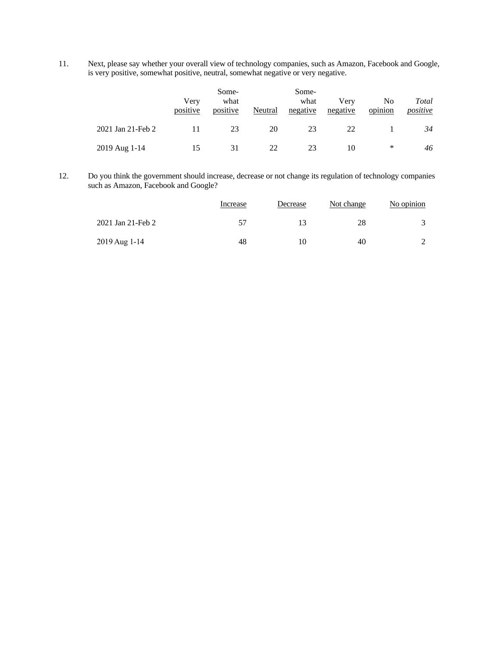11. Next, please say whether your overall view of technology companies, such as Amazon, Facebook and Google, is very positive, somewhat positive, neutral, somewhat negative or very negative.

|                   | Verv<br>positive | Some-<br>what<br>positive | Neutral | Some-<br>what<br>negative | Verv<br>negative | No.<br>opinion | Total<br>positive |
|-------------------|------------------|---------------------------|---------|---------------------------|------------------|----------------|-------------------|
| 2021 Jan 21-Feb 2 | 11               | 23                        | 20      | 23                        | 22               |                | 34                |
| 2019 Aug 1-14     | 15               | 31                        | 22      | 23                        | 10               | ∗              | 46                |

12. Do you think the government should increase, decrease or not change its regulation of technology companies such as Amazon, Facebook and Google?

|                   | Increase | Decrease | Not change | No opinion |
|-------------------|----------|----------|------------|------------|
| 2021 Jan 21-Feb 2 | 57       |          | 28         |            |
| 2019 Aug 1-14     | 48       | 10       | 40         |            |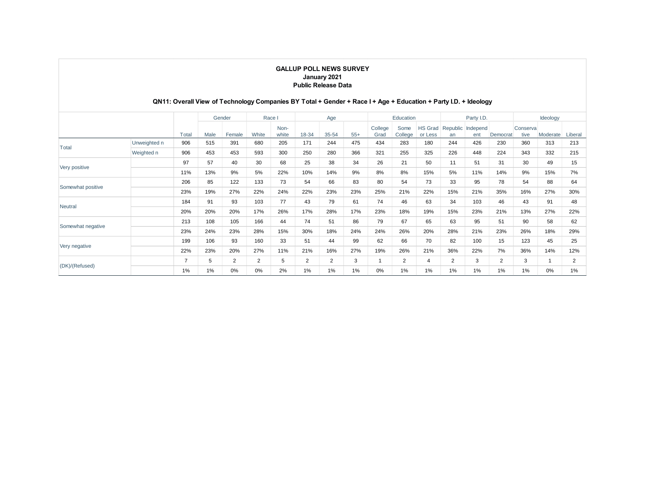#### **GALLUP POLL NEWS SURVEY January 2021 Public Release Data**

## **QN11: Overall View of Technology Companies BY Total + Gender + Race I + Age + Education + Party I.D. + Ideology**

|                   |              | Gender         |      | Race   |                | Age           |                |                | Education |                 |                 | Party I.D.                |       |                          | Ideology |                   |          |         |
|-------------------|--------------|----------------|------|--------|----------------|---------------|----------------|----------------|-----------|-----------------|-----------------|---------------------------|-------|--------------------------|----------|-------------------|----------|---------|
|                   |              | Total          | Male | Female | White          | Non-<br>white | 18-34          | 35-54          | $55+$     | College<br>Grad | Some<br>College | <b>HS Grad</b><br>or Less | an    | Republic Independ<br>ent | Democrat | Conserval<br>tive | Moderate | Liberal |
| Total             | Unweighted n | 906            | 515  | 391    | 680            | 205           | 171            | 244            | 475       | 434             | 283             | 180                       | 244   | 426                      | 230      | 360               | 313      | 213     |
|                   | Weighted n   | 906            | 453  | 453    | 593            | 300           | 250            | 280            | 366       | 321             | 255             | 325                       | 226   | 448                      | 224      | 343               | 332      | 215     |
|                   |              | 97             | 57   | 40     | 30             | 68            | 25             | 38             | 34        | 26              | 21              | 50                        | 11    | 51                       | 31       | 30                | 49       | 15      |
| Very positive     |              | 11%            | 13%  | 9%     | 5%             | 22%           | 10%            | 14%            | 9%        | 8%              | 8%              | 15%                       | 5%    | 11%                      | 14%      | 9%                | 15%      | 7%      |
| Somewhat positive |              | 206            | 85   | 122    | 133            | 73            | 54             | 66             | 83        | 80              | 54              | 73                        | 33    | 95                       | 78       | 54                | 88       | 64      |
|                   |              | 23%            | 19%  | 27%    | 22%            | 24%           | 22%            | 23%            | 23%       | 25%             | 21%             | 22%                       | 15%   | 21%                      | 35%      | 16%               | 27%      | 30%     |
|                   |              | 184            | 91   | 93     | 103            | 77            | 43             | 79             | 61        | 74              | 46              | 63                        | 34    | 103                      | 46       | 43                | 91       | 48      |
| Neutral           |              | 20%            | 20%  | 20%    | 17%            | 26%           | 17%            | 28%            | 17%       | 23%             | 18%             | 19%                       | 15%   | 23%                      | 21%      | 13%               | 27%      | 22%     |
|                   |              | 213            | 108  | 105    | 166            | 44            | 74             | 51             | 86        | 79              | 67              | 65                        | 63    | 95                       | 51       | 90                | 58       | 62      |
| Somewhat negative |              | 23%            | 24%  | 23%    | 28%            | 15%           | 30%            | 18%            | 24%       | 24%             | 26%             | 20%                       | 28%   | 21%                      | 23%      | 26%               | 18%      | 29%     |
| Very negative     |              | 199            | 106  | 93     | 160            | 33            | 51             | 44             | 99        | 62              | 66              | 70                        | 82    | 100                      | 15       | 123               | 45       | 25      |
|                   |              | 22%            | 23%  | 20%    | 27%            | 11%           | 21%            | 16%            | 27%       | 19%             | 26%             | 21%                       | 36%   | 22%                      | 7%       | 36%               | 14%      | 12%     |
| (DK)/(Refused)    |              | $\overline{ }$ | 5    | 2      | $\overline{2}$ | 5             | $\overline{2}$ | $\overline{2}$ | 3         | 1               | 2               | $\overline{4}$            | 2     | 3                        | 2        | 3                 |          | 2       |
|                   |              | 1%             | 1%   | 0%     | 0%             | 2%            | 1%             | 1%             | $1\%$     | 0%              | $1\%$           | 1%                        | $1\%$ | 1%                       | 1%       | $1\%$             | 0%       | $1\%$   |